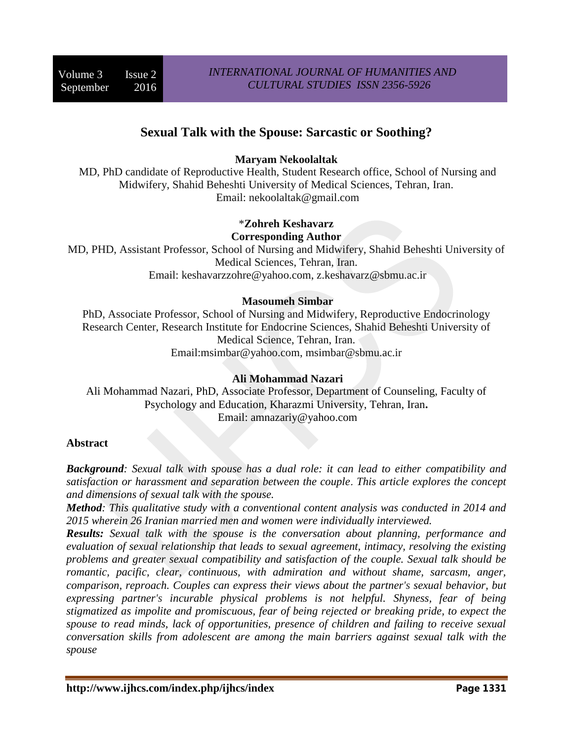# **Sexual Talk with the Spouse: Sarcastic or Soothing?**

# **Maryam Nekoolaltak**

MD, PhD candidate of Reproductive Health, Student Research office, School of Nursing and Midwifery, Shahid Beheshti University of Medical Sciences, Tehran, Iran. Email: nekoolaltak@gmail.com

# \***Zohreh Keshavarz Corresponding Author**

MD, PHD, Assistant Professor, School of Nursing and Midwifery, Shahid Beheshti University of Medical Sciences, Tehran, Iran. Email: keshavarzzohre@yahoo.com, z.keshavarz@sbmu.ac.ir

## **Masoumeh Simbar**

PhD, Associate Professor, School of Nursing and Midwifery, Reproductive Endocrinology Research Center, Research Institute for Endocrine Sciences, Shahid Beheshti University of Medical Science, Tehran, Iran. Email:msimbar@yahoo.com, msimbar@sbmu.ac.ir

## **Ali Mohammad Nazari**

Ali Mohammad Nazari, PhD, Associate Professor, Department of Counseling, Faculty of Psychology and Education, Kharazmi University, Tehran, Iran**.** Email: amnazariy@yahoo.com

## **Abstract**

*Background: Sexual talk with spouse has a dual role: it can lead to either compatibility and satisfaction or harassment and separation between the couple*. *This article explores the concept and dimensions of sexual talk with the spouse.*

*Method: This qualitative study with a conventional content analysis was conducted in 2014 and 2015 wherein 26 Iranian married men and women were individually interviewed.*

*Results: Sexual talk with the spouse is the conversation about planning, performance and evaluation of sexual relationship that leads to sexual agreement, intimacy, resolving the existing problems and greater sexual compatibility and satisfaction of the couple. Sexual talk should be romantic, pacific, clear, continuous, with admiration and without shame, sarcasm, anger, comparison, reproach. Couples can express their views about the partner's sexual behavior, but expressing partner's incurable physical problems is not helpful. Shyness, fear of being stigmatized as impolite and promiscuous, fear of being rejected or breaking pride, to expect the spouse to read minds, lack of opportunities, presence of children and failing to receive sexual conversation skills from adolescent are among the main barriers against sexual talk with the spouse*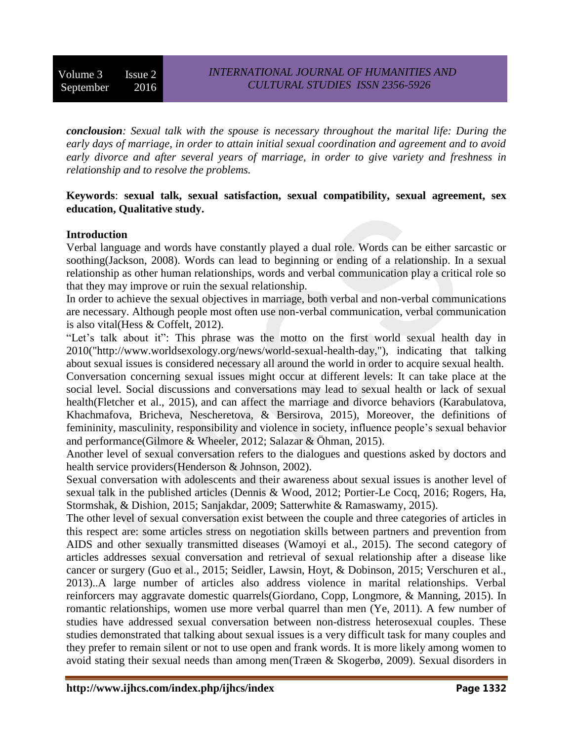Volume 3 Issue 2 September 2016

*conclousion: Sexual talk with the spouse is necessary throughout the marital life: During the early days of marriage, in order to attain initial sexual coordination and agreement and to avoid early divorce and after several years of marriage, in order to give variety and freshness in relationship and to resolve the problems.*

## **Keywords**: **sexual talk, sexual satisfaction, sexual compatibility, sexual agreement, sex education, Qualitative study.**

#### **Introduction**

Verbal language and words have constantly played a dual role. Words can be either sarcastic or soothing[\(Jackson, 2008\)](#page-16-0). Words can lead to beginning or ending of a relationship. In a sexual relationship as other human relationships, words and verbal communication play a critical role so that they may improve or ruin the sexual relationship.

In order to achieve the sexual objectives in marriage, both verbal and non-verbal communications are necessary. Although people most often use non-verbal communication, verbal communication is also vital[\(Hess & Coffelt, 2012\)](#page-16-1).

"Let's talk about it": This phrase was the motto on the first world sexual health day in 2010[\("http://www.worldsexology.org/news/world-sexual-health-day,"\)](#page-16-2), indicating that talking about sexual issues is considered necessary all around the world in order to acquire sexual health. Conversation concerning sexual issues might occur at different levels: It can take place at the social level. Social discussions and conversations may lead to sexual health or lack of sexual

health[\(Fletcher et al., 2015\)](#page-15-0), and can affect the marriage and divorce behaviors [\(Karabulatova,](#page-16-3)  [Khachmafova, Bricheva, Nescheretova, & Bersirova, 2015\)](#page-16-3), Moreover, the definitions of femininity, masculinity, responsibility and violence in society, influence people's sexual behavior and performance[\(Gilmore & Wheeler, 2012;](#page-15-1) [Salazar & Öhman, 2015\)](#page-17-0).

Another level of sexual conversation refers to the dialogues and questions asked by doctors and health service providers[\(Henderson & Johnson, 2002\)](#page-16-4).

Sexual conversation with adolescents and their awareness about sexual issues is another level of sexual talk in the published articles [\(Dennis & Wood, 2012;](#page-15-2) [Portier-Le Cocq, 2016;](#page-17-1) [Rogers, Ha,](#page-17-2)  [Stormshak, & Dishion, 2015;](#page-17-2) [Sanjakdar, 2009;](#page-17-3) [Satterwhite & Ramaswamy, 2015\)](#page-17-4).

The other level of sexual conversation exist between the couple and three categories of articles in this respect are: some articles stress on negotiation skills between partners and prevention from AIDS and other sexually transmitted diseases [\(Wamoyi et al., 2015\)](#page-18-0). The second category of articles addresses sexual conversation and retrieval of sexual relationship after a disease like cancer or surgery [\(Guo et al., 2015;](#page-16-5) [Seidler, Lawsin, Hoyt, & Dobinson, 2015;](#page-17-5) [Verschuren et al.,](#page-18-1)  [2013\)](#page-18-1)..A large number of articles also address violence in marital relationships. Verbal reinforcers may aggravate domestic quarrels[\(Giordano, Copp, Longmore, & Manning, 2015\)](#page-15-3). In romantic relationships, women use more verbal quarrel than men [\(Ye, 2011\)](#page-18-2). A few number of studies have addressed sexual conversation between non-distress heterosexual couples. These studies demonstrated that talking about sexual issues is a very difficult task for many couples and they prefer to remain silent or not to use open and frank words. It is more likely among women to avoid stating their sexual needs than among men[\(Træen & Skogerbø, 2009\)](#page-18-3). Sexual disorders in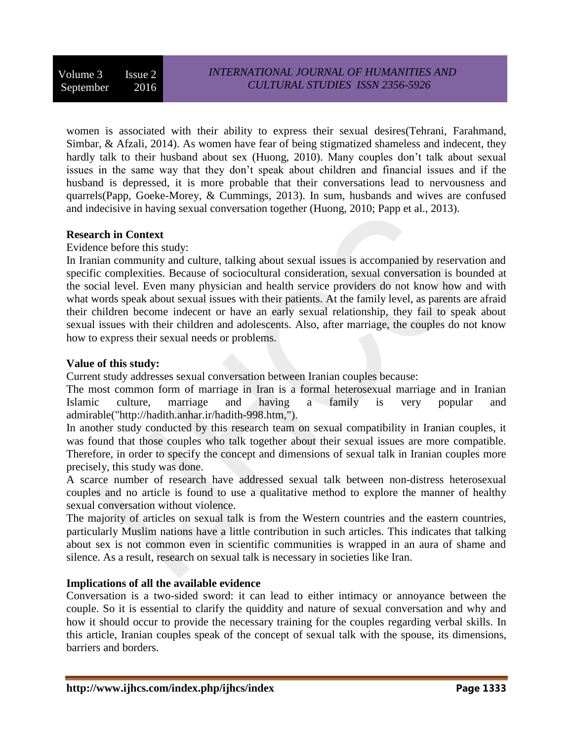Volume 3 Issue 2 September 2016

women is associated with their ability to express their sexual desires[\(Tehrani, Farahmand,](#page-18-4)  [Simbar, & Afzali, 2014\)](#page-18-4). As women have fear of being stigmatized shameless and indecent, they hardly talk to their husband about sex [\(Huong, 2010\)](#page-16-6). Many couples don't talk about sexual issues in the same way that they don't speak about children and financial issues and if the husband is depressed, it is more probable that their conversations lead to nervousness and quarrels[\(Papp, Goeke-Morey, & Cummings, 2013\)](#page-17-6). In sum, husbands and wives are confused and indecisive in having sexual conversation together [\(Huong, 2010;](#page-16-6) [Papp et al., 2013\)](#page-17-6).

## **Research in Context**

Evidence before this study:

In Iranian community and culture, talking about sexual issues is accompanied by reservation and specific complexities. Because of sociocultural consideration, sexual conversation is bounded at the social level. Even many physician and health service providers do not know how and with what words speak about sexual issues with their patients. At the family level, as parents are afraid their children become indecent or have an early sexual relationship, they fail to speak about sexual issues with their children and adolescents. Also, after marriage, the couples do not know how to express their sexual needs or problems.

## **Value of this study:**

Current study addresses sexual conversation between Iranian couples because:

The most common form of marriage in Iran is a formal heterosexual marriage and in Iranian Islamic culture, marriage and having a family is very popular and admirable[\("http://hadith.anhar.ir/hadith-998.htm,"\)](#page-16-7).

In another study conducted by this research team on sexual compatibility in Iranian couples, it was found that those couples who talk together about their sexual issues are more compatible. Therefore, in order to specify the concept and dimensions of sexual talk in Iranian couples more precisely, this study was done.

A scarce number of research have addressed sexual talk between non-distress heterosexual couples and no article is found to use a qualitative method to explore the manner of healthy sexual conversation without violence.

The majority of articles on sexual talk is from the Western countries and the eastern countries, particularly Muslim nations have a little contribution in such articles. This indicates that talking about sex is not common even in scientific communities is wrapped in an aura of shame and silence. As a result, research on sexual talk is necessary in societies like Iran.

## **Implications of all the available evidence**

Conversation is a two-sided sword: it can lead to either intimacy or annoyance between the couple. So it is essential to clarify the quiddity and nature of sexual conversation and why and how it should occur to provide the necessary training for the couples regarding verbal skills. In this article, Iranian couples speak of the concept of sexual talk with the spouse, its dimensions, barriers and borders.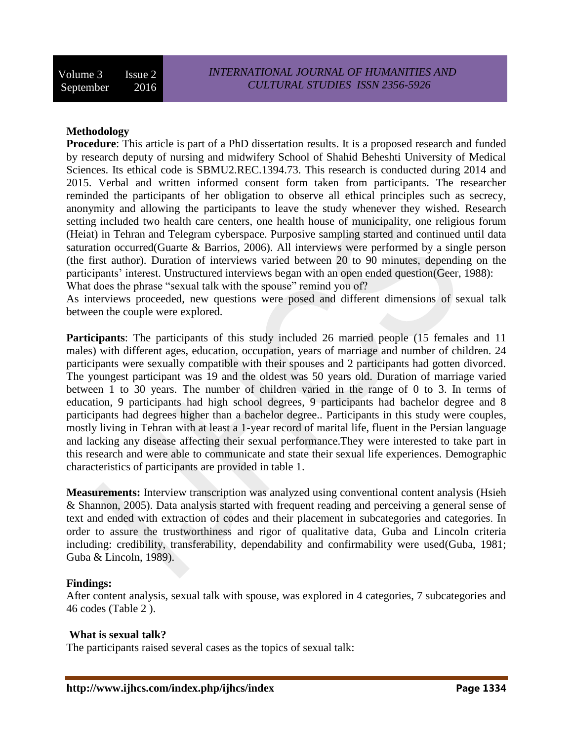# **Methodology**

**Procedure**: This article is part of a PhD dissertation results. It is a proposed research and funded by research deputy of nursing and midwifery School of Shahid Beheshti University of Medical Sciences. Its ethical code is SBMU2.REC.1394.73. This research is conducted during 2014 and 2015. Verbal and written informed consent form taken from participants. The researcher reminded the participants of her obligation to observe all ethical principles such as secrecy, anonymity and allowing the participants to leave the study whenever they wished. Research setting included two health care centers, one health house of municipality, one religious forum (Heiat) in Tehran and Telegram cyberspace. Purposive sampling started and continued until data saturation occurred[\(Guarte & Barrios, 2006\)](#page-16-8). All interviews were performed by a single person (the first author). Duration of interviews varied between 20 to 90 minutes, depending on the participants' interest. Unstructured interviews began with an open ended question[\(Geer, 1988\)](#page-15-4): What does the phrase "sexual talk with the spouse" remind you of?

As interviews proceeded, new questions were posed and different dimensions of sexual talk between the couple were explored.

**Participants**: The participants of this study included 26 married people (15 females and 11 males) with different ages, education, occupation, years of marriage and number of children. 24 participants were sexually compatible with their spouses and 2 participants had gotten divorced. The youngest participant was 19 and the oldest was 50 years old. Duration of marriage varied between 1 to 30 years. The number of children varied in the range of 0 to 3. In terms of education, 9 participants had high school degrees, 9 participants had bachelor degree and 8 participants had degrees higher than a bachelor degree.. Participants in this study were couples, mostly living in Tehran with at least a 1-year record of marital life, fluent in the Persian language and lacking any disease affecting their sexual performance.They were interested to take part in this research and were able to communicate and state their sexual life experiences. Demographic characteristics of participants are provided in table 1.

**Measurements:** Interview transcription was analyzed using conventional content analysis [\(Hsieh](#page-16-9)  [& Shannon, 2005\)](#page-16-9). Data analysis started with frequent reading and perceiving a general sense of text and ended with extraction of codes and their placement in subcategories and categories. In order to assure the trustworthiness and rigor of qualitative data, Guba and Lincoln criteria including: credibility, transferability, dependability and confirmability were used[\(Guba, 1981;](#page-16-10) [Guba & Lincoln, 1989\)](#page-16-11).

## **Findings:**

After content analysis, sexual talk with spouse, was explored in 4 categories, 7 subcategories and 46 codes (Table 2 ).

## **What is sexual talk?**

The participants raised several cases as the topics of sexual talk: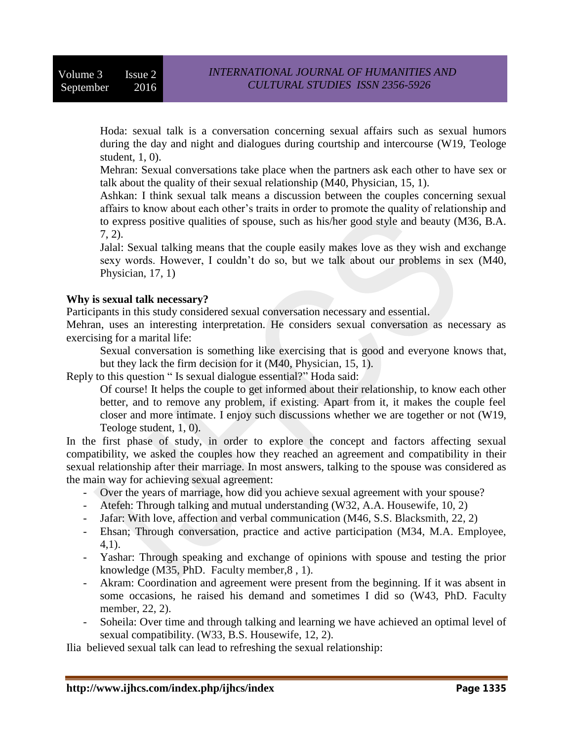Hoda: sexual talk is a conversation concerning sexual affairs such as sexual humors during the day and night and dialogues during courtship and intercourse (W19, Teologe student, 1, 0).

Mehran: Sexual conversations take place when the partners ask each other to have sex or talk about the quality of their sexual relationship (M40, Physician, 15, 1).

Ashkan: I think sexual talk means a discussion between the couples concerning sexual affairs to know about each other's traits in order to promote the quality of relationship and to express positive qualities of spouse, such as his/her good style and beauty (M36, B.A. 7, 2).

Jalal: Sexual talking means that the couple easily makes love as they wish and exchange sexy words. However, I couldn't do so, but we talk about our problems in sex (M40, Physician, 17, 1)

## **Why is sexual talk necessary?**

Participants in this study considered sexual conversation necessary and essential.

Mehran, uses an interesting interpretation. He considers sexual conversation as necessary as exercising for a marital life:

Sexual conversation is something like exercising that is good and everyone knows that, but they lack the firm decision for it (M40, Physician, 15, 1).

Reply to this question " Is sexual dialogue essential?" Hoda said:

Of course! It helps the couple to get informed about their relationship, to know each other better, and to remove any problem, if existing. Apart from it, it makes the couple feel closer and more intimate. I enjoy such discussions whether we are together or not (W19, Teologe student, 1, 0).

In the first phase of study, in order to explore the concept and factors affecting sexual compatibility, we asked the couples how they reached an agreement and compatibility in their sexual relationship after their marriage. In most answers, talking to the spouse was considered as the main way for achieving sexual agreement:

- Over the years of marriage, how did you achieve sexual agreement with your spouse?
- Atefeh: Through talking and mutual understanding (W32, A.A. Housewife, 10, 2)
- Jafar: With love, affection and verbal communication (M46, S.S. Blacksmith, 22, 2)
- Ehsan; Through conversation, practice and active participation (M34, M.A. Employee, 4,1).
- Yashar: Through speaking and exchange of opinions with spouse and testing the prior knowledge (M35, PhD. Faculty member,8 , 1).
- Akram: Coordination and agreement were present from the beginning. If it was absent in some occasions, he raised his demand and sometimes I did so (W43, PhD. Faculty member, 22, 2).
- Soheila: Over time and through talking and learning we have achieved an optimal level of sexual compatibility. (W33, B.S. Housewife, 12, 2).

Ilia believed sexual talk can lead to refreshing the sexual relationship: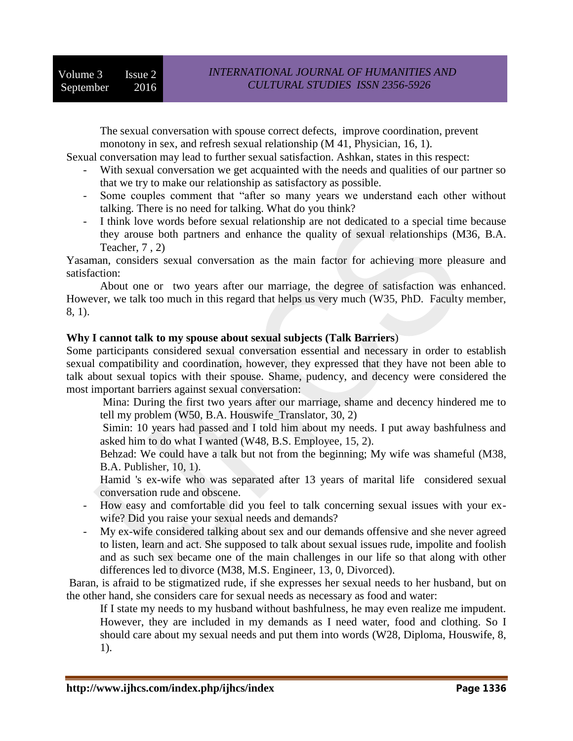The sexual conversation with spouse correct defects, improve coordination, prevent monotony in sex, and refresh sexual relationship (M 41, Physician, 16, 1).

Sexual conversation may lead to further sexual satisfaction. Ashkan, states in this respect:

- With sexual conversation we get acquainted with the needs and qualities of our partner so that we try to make our relationship as satisfactory as possible.
- Some couples comment that "after so many years we understand each other without talking. There is no need for talking. What do you think?
- I think love words before sexual relationship are not dedicated to a special time because they arouse both partners and enhance the quality of sexual relationships (M36, B.A. Teacher, 7 , 2)

Yasaman, considers sexual conversation as the main factor for achieving more pleasure and satisfaction:

About one or two years after our marriage, the degree of satisfaction was enhanced. However, we talk too much in this regard that helps us very much (W35, PhD. Faculty member, 8, 1).

## **Why I cannot talk to my spouse about sexual subjects (Talk Barriers**)

Some participants considered sexual conversation essential and necessary in order to establish sexual compatibility and coordination, however, they expressed that they have not been able to talk about sexual topics with their spouse. Shame, pudency, and decency were considered the most important barriers against sexual conversation:

- Mina: During the first two years after our marriage, shame and decency hindered me to tell my problem (W50, B.A. Houswife\_Translator, 30, 2)
- Simin: 10 years had passed and I told him about my needs. I put away bashfulness and asked him to do what I wanted (W48, B.S. Employee, 15, 2).
- Behzad: We could have a talk but not from the beginning; My wife was shameful (M38, B.A. Publisher, 10, 1).
- Hamid 's ex-wife who was separated after 13 years of marital life considered sexual conversation rude and obscene.
- How easy and comfortable did you feel to talk concerning sexual issues with your exwife? Did you raise your sexual needs and demands?
- My ex-wife considered talking about sex and our demands offensive and she never agreed to listen, learn and act. She supposed to talk about sexual issues rude, impolite and foolish and as such sex became one of the main challenges in our life so that along with other differences led to divorce (M38, M.S. Engineer, 13, 0, Divorced).

Baran, is afraid to be stigmatized rude, if she expresses her sexual needs to her husband, but on the other hand, she considers care for sexual needs as necessary as food and water:

If I state my needs to my husband without bashfulness, he may even realize me impudent. However, they are included in my demands as I need water, food and clothing. So I should care about my sexual needs and put them into words (W28, Diploma, Houswife, 8, 1).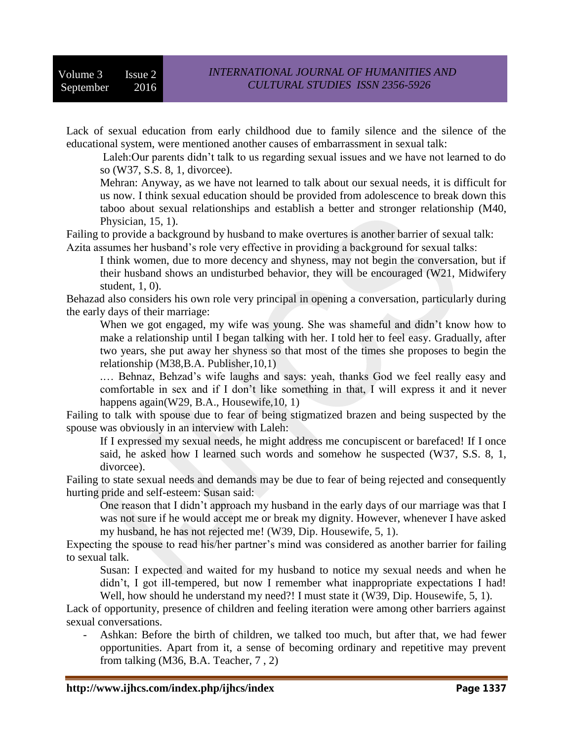Lack of sexual education from early childhood due to family silence and the silence of the educational system, were mentioned another causes of embarrassment in sexual talk:

Laleh:Our parents didn't talk to us regarding sexual issues and we have not learned to do so (W37, S.S. 8, 1, divorcee).

Mehran: Anyway, as we have not learned to talk about our sexual needs, it is difficult for us now. I think sexual education should be provided from adolescence to break down this taboo about sexual relationships and establish a better and stronger relationship (M40, Physician, 15, 1).

Failing to provide a background by husband to make overtures is another barrier of sexual talk: Azita assumes her husband's role very effective in providing a background for sexual talks:

I think women, due to more decency and shyness, may not begin the conversation, but if their husband shows an undisturbed behavior, they will be encouraged (W21, Midwifery student, 1, 0).

Behazad also considers his own role very principal in opening a conversation, particularly during the early days of their marriage:

When we got engaged, my wife was young. She was shameful and didn't know how to make a relationship until I began talking with her. I told her to feel easy. Gradually, after two years, she put away her shyness so that most of the times she proposes to begin the relationship (M38,B.A. Publisher,10,1)

.… Behnaz, Behzad's wife laughs and says: yeah, thanks God we feel really easy and comfortable in sex and if I don't like something in that, I will express it and it never happens again(W29, B.A., Housewife, 10, 1)

Failing to talk with spouse due to fear of being stigmatized brazen and being suspected by the spouse was obviously in an interview with Laleh:

If I expressed my sexual needs, he might address me concupiscent or barefaced! If I once said, he asked how I learned such words and somehow he suspected (W37, S.S. 8, 1, divorcee).

Failing to state sexual needs and demands may be due to fear of being rejected and consequently hurting pride and self-esteem: Susan said:

One reason that I didn't approach my husband in the early days of our marriage was that I was not sure if he would accept me or break my dignity. However, whenever I have asked my husband, he has not rejected me! (W39, Dip. Housewife, 5, 1).

Expecting the spouse to read his/her partner's mind was considered as another barrier for failing to sexual talk.

Susan: I expected and waited for my husband to notice my sexual needs and when he didn't, I got ill-tempered, but now I remember what inappropriate expectations I had! Well, how should he understand my need?! I must state it (W39, Dip. Housewife, 5, 1).

Lack of opportunity, presence of children and feeling iteration were among other barriers against sexual conversations.

Ashkan: Before the birth of children, we talked too much, but after that, we had fewer opportunities. Apart from it, a sense of becoming ordinary and repetitive may prevent from talking (M36, B.A. Teacher, 7 , 2)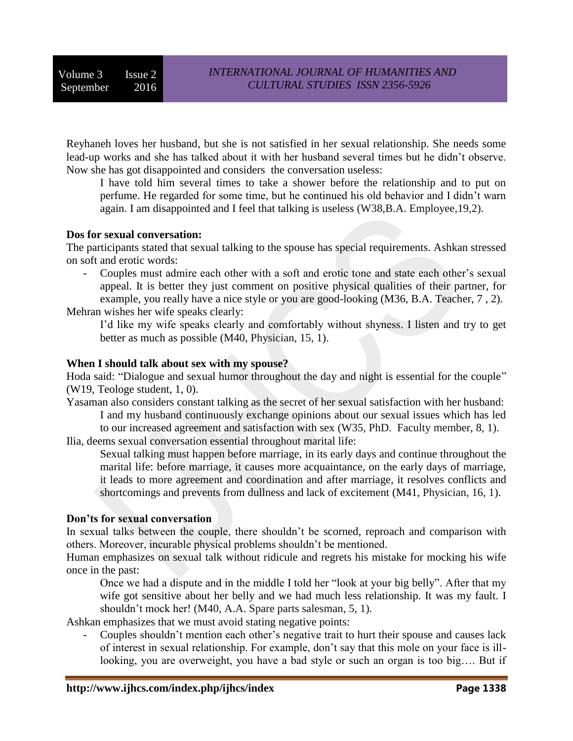Reyhaneh loves her husband, but she is not satisfied in her sexual relationship. She needs some lead-up works and she has talked about it with her husband several times but he didn't observe. Now she has got disappointed and considers the conversation useless:

I have told him several times to take a shower before the relationship and to put on perfume. He regarded for some time, but he continued his old behavior and I didn't warn again. I am disappointed and I feel that talking is useless (W38,B.A. Employee,19,2).

## **Dos for sexual conversation:**

The participants stated that sexual talking to the spouse has special requirements. Ashkan stressed on soft and erotic words:

- Couples must admire each other with a soft and erotic tone and state each other's sexual appeal. It is better they just comment on positive physical qualities of their partner, for example, you really have a nice style or you are good-looking (M36, B.A. Teacher, 7 , 2).

Mehran wishes her wife speaks clearly:

I'd like my wife speaks clearly and comfortably without shyness. I listen and try to get better as much as possible (M40, Physician, 15, 1).

## **When I should talk about sex with my spouse?**

Hoda said: "Dialogue and sexual humor throughout the day and night is essential for the couple" (W19, Teologe student, 1, 0).

Yasaman also considers constant talking as the secret of her sexual satisfaction with her husband: I and my husband continuously exchange opinions about our sexual issues which has led to our increased agreement and satisfaction with sex (W35, PhD. Faculty member, 8, 1).

Ilia, deems sexual conversation essential throughout marital life:

Sexual talking must happen before marriage, in its early days and continue throughout the marital life: before marriage, it causes more acquaintance, on the early days of marriage, it leads to more agreement and coordination and after marriage, it resolves conflicts and shortcomings and prevents from dullness and lack of excitement (M41, Physician, 16, 1).

## **Don'ts for sexual conversation**

In sexual talks between the couple, there shouldn't be scorned, reproach and comparison with others. Moreover, incurable physical problems shouldn't be mentioned.

Human emphasizes on sexual talk without ridicule and regrets his mistake for mocking his wife once in the past:

Once we had a dispute and in the middle I told her "look at your big belly". After that my wife got sensitive about her belly and we had much less relationship. It was my fault. I shouldn't mock her! (M40, A.A. Spare parts salesman, 5, 1).

Ashkan emphasizes that we must avoid stating negative points:

- Couples shouldn't mention each other's negative trait to hurt their spouse and causes lack of interest in sexual relationship. For example, don't say that this mole on your face is illlooking, you are overweight, you have a bad style or such an organ is too big…. But if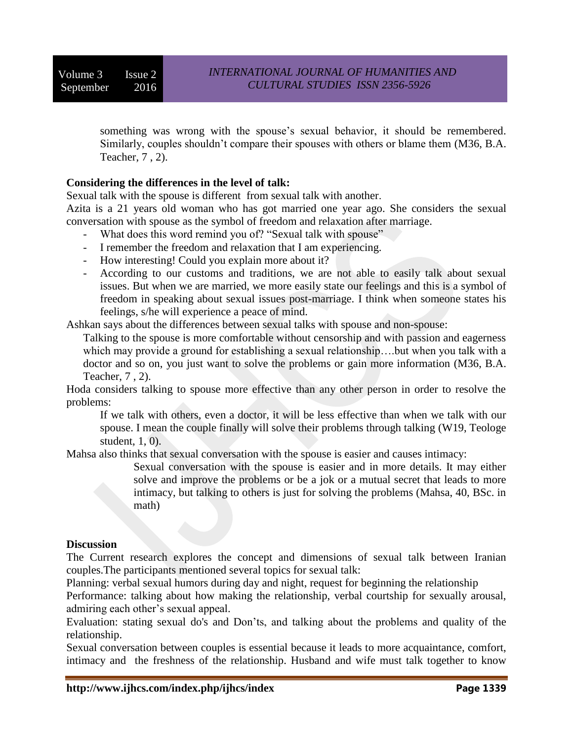Volume 3 Issue 2 September 2016

something was wrong with the spouse's sexual behavior, it should be remembered. Similarly, couples shouldn't compare their spouses with others or blame them (M36, B.A. Teacher, 7 , 2).

## **Considering the differences in the level of talk:**

Sexual talk with the spouse is different from sexual talk with another.

Azita is a 21 years old woman who has got married one year ago. She considers the sexual conversation with spouse as the symbol of freedom and relaxation after marriage.

- What does this word remind you of? "Sexual talk with spouse"
- I remember the freedom and relaxation that I am experiencing.
- How interesting! Could you explain more about it?
- According to our customs and traditions, we are not able to easily talk about sexual issues. But when we are married, we more easily state our feelings and this is a symbol of freedom in speaking about sexual issues post-marriage. I think when someone states his feelings, s/he will experience a peace of mind.

Ashkan says about the differences between sexual talks with spouse and non-spouse:

Talking to the spouse is more comfortable without censorship and with passion and eagerness which may provide a ground for establishing a sexual relationship….but when you talk with a doctor and so on, you just want to solve the problems or gain more information (M36, B.A. Teacher, 7 , 2).

Hoda considers talking to spouse more effective than any other person in order to resolve the problems:

If we talk with others, even a doctor, it will be less effective than when we talk with our spouse. I mean the couple finally will solve their problems through talking (W19, Teologe student, 1, 0).

Mahsa also thinks that sexual conversation with the spouse is easier and causes intimacy:

Sexual conversation with the spouse is easier and in more details. It may either solve and improve the problems or be a jok or a mutual secret that leads to more intimacy, but talking to others is just for solving the problems (Mahsa, 40, BSc. in math)

#### **Discussion**

The Current research explores the concept and dimensions of sexual talk between Iranian couples.The participants mentioned several topics for sexual talk:

Planning: verbal sexual humors during day and night, request for beginning the relationship

Performance: talking about how making the relationship, verbal courtship for sexually arousal, admiring each other's sexual appeal.

Evaluation: stating sexual do's and Don'ts, and talking about the problems and quality of the relationship.

Sexual conversation between couples is essential because it leads to more acquaintance, comfort, intimacy and the freshness of the relationship. Husband and wife must talk together to know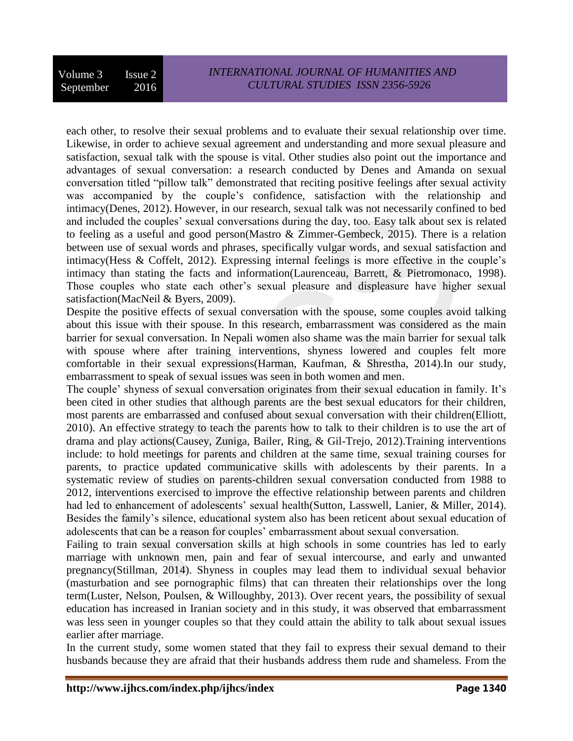each other, to resolve their sexual problems and to evaluate their sexual relationship over time. Likewise, in order to achieve sexual agreement and understanding and more sexual pleasure and satisfaction, sexual talk with the spouse is vital. Other studies also point out the importance and advantages of sexual conversation: a research conducted by Denes and Amanda on sexual conversation titled "pillow talk" demonstrated that reciting positive feelings after sexual activity was accompanied by the couple's confidence, satisfaction with the relationship and intimacy[\(Denes, 2012\)](#page-15-5). However, in our research, sexual talk was not necessarily confined to bed and included the couples' sexual conversations during the day, too. Easy talk about sex is related to feeling as a useful and good person[\(Mastro & Zimmer-Gembeck, 2015\)](#page-17-7). There is a relation between use of sexual words and phrases, specifically vulgar words, and sexual satisfaction and intimacy[\(Hess & Coffelt, 2012\)](#page-16-1). Expressing internal feelings is more effective in the couple's intimacy than stating the facts and information[\(Laurenceau, Barrett, & Pietromonaco, 1998\)](#page-16-12). Those couples who state each other's sexual pleasure and displeasure have higher sexual satisfaction[\(MacNeil & Byers, 2009\)](#page-17-8).

Despite the positive effects of sexual conversation with the spouse, some couples avoid talking about this issue with their spouse. In this research, embarrassment was considered as the main barrier for sexual conversation. In Nepali women also shame was the main barrier for sexual talk with spouse where after training interventions, shyness lowered and couples felt more comfortable in their sexual expressions[\(Harman, Kaufman, & Shrestha, 2014\)](#page-16-13).In our study, embarrassment to speak of sexual issues was seen in both women and men.

The couple' shyness of sexual conversation originates from their sexual education in family. It's been cited in other studies that although parents are the best sexual educators for their children, most parents are embarrassed and confused about sexual conversation with their children[\(Elliott,](#page-15-6)  [2010\)](#page-15-6). An effective strategy to teach the parents how to talk to their children is to use the art of drama and play actions[\(Causey, Zuniga, Bailer, Ring, & Gil-Trejo, 2012\)](#page-15-7).Training interventions include: to hold meetings for parents and children at the same time, sexual training courses for parents, to practice updated communicative skills with adolescents by their parents. In a systematic review of studies on parents-children sexual conversation conducted from 1988 to 2012, interventions exercised to improve the effective relationship between parents and children had led to enhancement of adolescents' sexual health[\(Sutton, Lasswell, Lanier, & Miller, 2014\)](#page-17-9). Besides the family's silence, educational system also has been reticent about sexual education of adolescents that can be a reason for couples' embarrassment about sexual conversation.

Failing to train sexual conversation skills at high schools in some countries has led to early marriage with unknown men, pain and fear of sexual intercourse, and early and unwanted pregnancy[\(Stillman, 2014\)](#page-17-10). Shyness in couples may lead them to individual sexual behavior (masturbation and see pornographic films) that can threaten their relationships over the long term[\(Luster, Nelson, Poulsen, & Willoughby, 2013\)](#page-16-14). Over recent years, the possibility of sexual education has increased in Iranian society and in this study, it was observed that embarrassment was less seen in younger couples so that they could attain the ability to talk about sexual issues earlier after marriage.

In the current study, some women stated that they fail to express their sexual demand to their husbands because they are afraid that their husbands address them rude and shameless. From the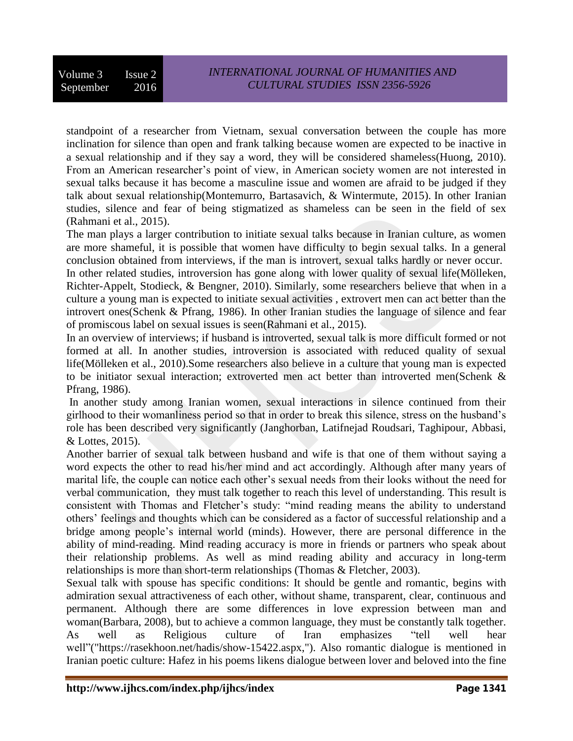standpoint of a researcher from Vietnam, sexual conversation between the couple has more inclination for silence than open and frank talking because women are expected to be inactive in a sexual relationship and if they say a word, they will be considered shameless[\(Huong, 2010\)](#page-16-6). From an American researcher's point of view, in American society women are not interested in sexual talks because it has become a masculine issue and women are afraid to be judged if they talk about sexual relationship[\(Montemurro, Bartasavich, & Wintermute, 2015\)](#page-17-11). In other Iranian studies, silence and fear of being stigmatized as shameless can be seen in the field of sex [\(Rahmani et al., 2015\)](#page-17-12).

The man plays a larger contribution to initiate sexual talks because in Iranian culture, as women are more shameful, it is possible that women have difficulty to begin sexual talks. In a general conclusion obtained from interviews, if the man is introvert, sexual talks hardly or never occur. In other related studies, introversion has gone along with lower quality of sexual life[\(Mölleken,](#page-17-13) 

[Richter-Appelt, Stodieck, & Bengner, 2010\)](#page-17-13). Similarly, some researchers believe that when in a culture a young man is expected to initiate sexual activities , extrovert men can act better than the introvert ones[\(Schenk & Pfrang, 1986\)](#page-17-14). In other Iranian studies the language of silence and fear of promiscous label on sexual issues is seen[\(Rahmani et al., 2015\)](#page-17-12).

In an overview of interviews; if husband is introverted, sexual talk is more difficult formed or not formed at all. In another studies, introversion is associated with reduced quality of sexual life[\(Mölleken et al., 2010\)](#page-17-13).Some researchers also believe in a culture that young man is expected to be initiator sexual interaction; extroverted men act better than introverted men[\(Schenk &](#page-17-14)  [Pfrang, 1986\)](#page-17-14).

In another study among Iranian women, sexual interactions in silence continued from their girlhood to their womanliness period so that in order to break this silence, stress on the husband's role has been described very significantly [\(Janghorban, Latifnejad Roudsari, Taghipour, Abbasi,](#page-16-15)  [& Lottes, 2015\)](#page-16-15).

Another barrier of sexual talk between husband and wife is that one of them without saying a word expects the other to read his/her mind and act accordingly. Although after many years of marital life, the couple can notice each other's sexual needs from their looks without the need for verbal communication, they must talk together to reach this level of understanding. This result is consistent with Thomas and Fletcher's study: "mind reading means the ability to understand others' feelings and thoughts which can be considered as a factor of successful relationship and a bridge among people's internal world (minds). However, there are personal difference in the ability of mind-reading. Mind reading accuracy is more in friends or partners who speak about their relationship problems. As well as mind reading ability and accuracy in long-term relationships is more than short-term relationships [\(Thomas & Fletcher, 2003\)](#page-18-5).

Sexual talk with spouse has specific conditions: It should be gentle and romantic, begins with admiration sexual attractiveness of each other, without shame, transparent, clear, continuous and permanent. Although there are some differences in love expression between man and woman[\(Barbara,](#page-15-8) 2008), but to achieve a common language, they must be constantly talk together. As well as Religious culture of Iran emphasizes "tell well hear well"[\("https://rasekhoon.net/hadis/show-15422.aspx,"\)](#page-16-16). Also romantic dialogue is mentioned in Iranian poetic culture: Hafez in his poems likens dialogue between lover and beloved into the fine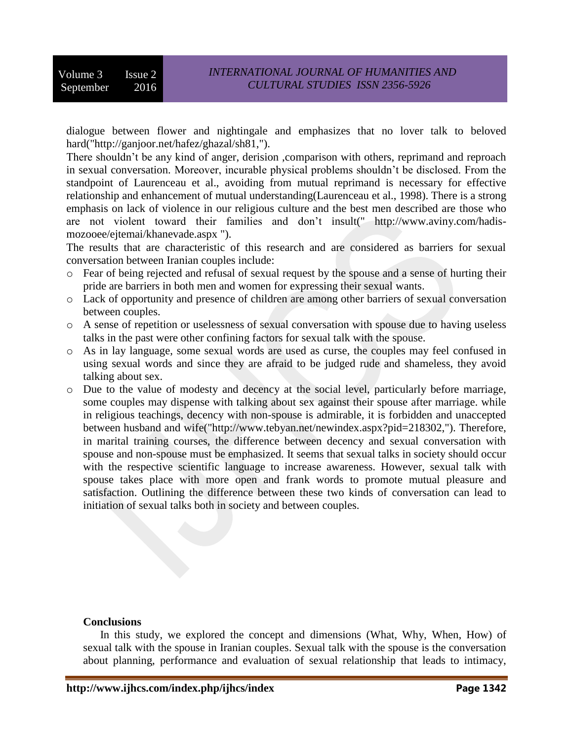dialogue between flower and nightingale and emphasizes that no lover talk to beloved hard[\("http://ganjoor.net/hafez/ghazal/sh81,"\)](#page-16-17).

There shouldn't be any kind of anger, derision ,comparison with others, reprimand and reproach in sexual conversation. Moreover, incurable physical problems shouldn't be disclosed. From the standpoint of Laurenceau et al., avoiding from mutual reprimand is necessary for effective relationship and enhancement of mutual understanding[\(Laurenceau et al., 1998\)](#page-16-12). There is a strong emphasis on lack of violence in our religious culture and the best men described are those who are not violent toward their families and don't insult[\(" http://www.aviny.com/hadis](#page-16-18)[mozooee/ejtemai/khanevade.aspx "\)](#page-16-18).

The results that are characteristic of this research and are considered as barriers for sexual conversation between Iranian couples include:

- o Fear of being rejected and refusal of sexual request by the spouse and a sense of hurting their pride are barriers in both men and women for expressing their sexual wants.
- o Lack of opportunity and presence of children are among other barriers of sexual conversation between couples.
- o A sense of repetition or uselessness of sexual conversation with spouse due to having useless talks in the past were other confining factors for sexual talk with the spouse.
- o As in lay language, some sexual words are used as curse, the couples may feel confused in using sexual words and since they are afraid to be judged rude and shameless, they avoid talking about sex.
- o Due to the value of modesty and decency at the social level, particularly before marriage, some couples may dispense with talking about sex against their spouse after marriage. while in religious teachings, decency with non-spouse is admirable, it is forbidden and unaccepted between husband and wife[\("http://www.tebyan.net/newindex.aspx?pid=218302,"\)](#page-16-19). Therefore, in marital training courses, the difference between decency and sexual conversation with spouse and non-spouse must be emphasized. It seems that sexual talks in society should occur with the respective scientific language to increase awareness. However, sexual talk with spouse takes place with more open and frank words to promote mutual pleasure and satisfaction. Outlining the difference between these two kinds of conversation can lead to initiation of sexual talks both in society and between couples.

#### **Conclusions**

In this study, we explored the concept and dimensions (What, Why, When, How) of sexual talk with the spouse in Iranian couples. Sexual talk with the spouse is the conversation about planning, performance and evaluation of sexual relationship that leads to intimacy,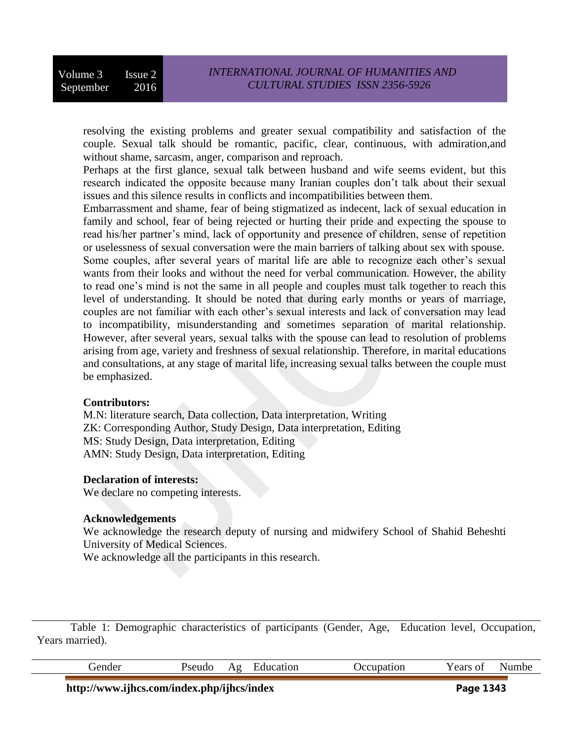resolving the existing problems and greater sexual compatibility and satisfaction of the couple. Sexual talk should be romantic, pacific, clear, continuous, with admiration,and without shame, sarcasm, anger, comparison and reproach.

Perhaps at the first glance, sexual talk between husband and wife seems evident, but this research indicated the opposite because many Iranian couples don't talk about their sexual issues and this silence results in conflicts and incompatibilities between them.

Embarrassment and shame, fear of being stigmatized as indecent, lack of sexual education in family and school, fear of being rejected or hurting their pride and expecting the spouse to read his/her partner's mind, lack of opportunity and presence of children, sense of repetition or uselessness of sexual conversation were the main barriers of talking about sex with spouse.

Some couples, after several years of marital life are able to recognize each other's sexual wants from their looks and without the need for verbal communication. However, the ability to read one's mind is not the same in all people and couples must talk together to reach this level of understanding. It should be noted that during early months or years of marriage, couples are not familiar with each other's sexual interests and lack of conversation may lead to incompatibility, misunderstanding and sometimes separation of marital relationship. However, after several years, sexual talks with the spouse can lead to resolution of problems arising from age, variety and freshness of sexual relationship. Therefore, in marital educations and consultations, at any stage of marital life, increasing sexual talks between the couple must be emphasized.

#### **Contributors:**

M.N: literature search, Data collection, Data interpretation, Writing ZK: Corresponding Author, Study Design, Data interpretation, Editing MS: Study Design, Data interpretation, Editing AMN: Study Design, Data interpretation, Editing

## **Declaration of interests:**

We declare no competing interests.

## **Acknowledgements**

We acknowledge the research deputy of nursing and midwifery School of Shahid Beheshti University of Medical Sciences.

We acknowledge all the participants in this research.

Table 1: Demographic characteristics of participants (Gender, Age, Education level, Occupation, Years married).

|  |  |  | $\sim$ $\sim$ |  |
|--|--|--|---------------|--|
|  |  |  |               |  |

**http://www.ijhcs.com/index.php/ijhcs/index Page 1343**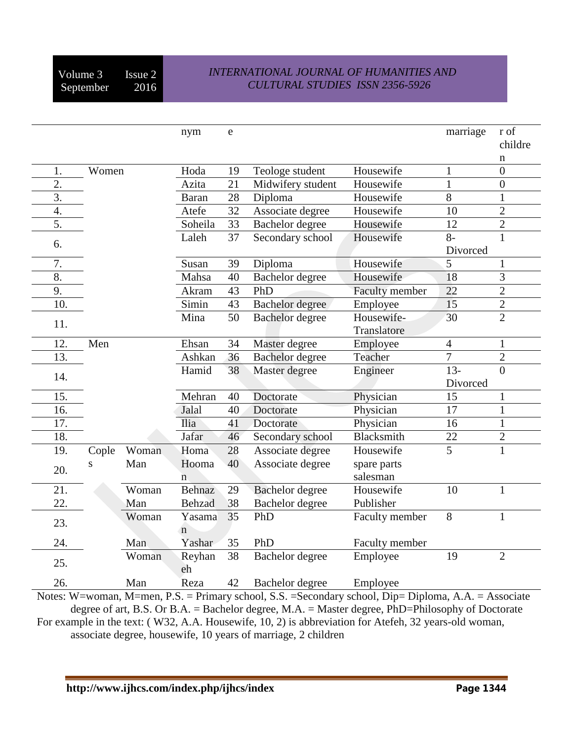# *INTERNATIONAL JOURNAL OF HUMANITIES AND CULTURAL STUDIES ISSN 2356-5926*

|                    |       |       | nym            | e  |                        |                | marriage       | r of<br>childre  |
|--------------------|-------|-------|----------------|----|------------------------|----------------|----------------|------------------|
|                    |       |       |                |    |                        |                |                | n                |
| 1.                 | Women |       | Hoda           | 19 | Teologe student        | Housewife      | $\mathbf{1}$   | $\overline{0}$   |
| $\overline{2}$ .   |       |       | Azita          | 21 | Midwifery student      | Housewife      | $\mathbf{1}$   | $\boldsymbol{0}$ |
| $\overline{3}$ .   |       |       | <b>Baran</b>   | 28 | Diploma                | Housewife      | $\overline{8}$ | $\mathbf{1}$     |
| $\boldsymbol{4}$ . |       |       | Atefe          | 32 | Associate degree       | Housewife      | 10             | $\overline{2}$   |
| 5.                 |       |       | Soheila        | 33 | Bachelor degree        | Housewife      | 12             | $\overline{2}$   |
| 6.                 |       |       | Laleh          | 37 | Secondary school       | Housewife      | $8-$           | $\mathbf{1}$     |
|                    |       |       |                |    |                        |                | Divorced       |                  |
| 7.                 |       |       | Susan          | 39 | Diploma                | Housewife      | 5              | 1                |
| $\overline{8}$ .   |       |       | Mahsa          | 40 | Bachelor degree        | Housewife      | 18             | $\overline{3}$   |
| 9.                 |       |       | Akram          | 43 | PhD                    | Faculty member | 22             | $\overline{2}$   |
| 10.                |       |       | Simin          | 43 | Bachelor degree        | Employee       | 15             | $\overline{2}$   |
|                    |       |       | Mina           | 50 | Bachelor degree        | Housewife-     | 30             | $\overline{2}$   |
| 11.                |       |       |                |    |                        | Translatore    |                |                  |
| 12.                | Men   |       | Ehsan          | 34 | Master degree          | Employee       | $\overline{4}$ | $\mathbf{1}$     |
| 13.                |       |       | Ashkan         | 36 | <b>Bachelor</b> degree | Teacher        | $\overline{7}$ | $\overline{2}$   |
|                    |       |       | Hamid          | 38 | Master degree          | Engineer       | $13 -$         | $\overline{0}$   |
| 14.                |       |       |                |    |                        |                | Divorced       |                  |
| 15.                |       |       | Mehran         | 40 | Doctorate              | Physician      | 15             | $\mathbf{1}$     |
| 16.                |       |       | Jalal          | 40 | Doctorate              | Physician      | 17             | $\mathbf{1}$     |
| 17.                |       |       | <b>Ilia</b>    | 41 | Doctorate              | Physician      | 16             | $\mathbf{1}$     |
| 18.                |       |       | Jafar          | 46 | Secondary school       | Blacksmith     | 22             | $\overline{2}$   |
| 19.                | Cople | Woman | Homa           | 28 | Associate degree       | Housewife      | $\overline{5}$ | $\mathbf{1}$     |
|                    | S     | Man   | Hooma          | 40 | Associate degree       | spare parts    |                |                  |
| 20.                |       |       | $\overline{n}$ |    |                        | salesman       |                |                  |
| 21.                |       | Woman | Behnaz         | 29 | Bachelor degree        | Housewife      | 10             | $\mathbf{1}$     |
| 22.                |       | Man   | <b>Behzad</b>  | 38 | Bachelor degree        | Publisher      |                |                  |
|                    |       | Woman | Yasama         | 35 | PhD                    | Faculty member | $\overline{8}$ | 1                |
| 23.                |       |       | $\mathbf n$    |    |                        |                |                |                  |
| 24.                |       | Man   | Yashar         | 35 | PhD                    | Faculty member |                |                  |
|                    |       | Woman | Reyhan         | 38 | Bachelor degree        | Employee       | 19             | $\overline{2}$   |
| 25.                |       |       | eh             |    |                        |                |                |                  |
| 26.                |       | Man   | Reza           | 42 | Bachelor degree        | Employee       |                |                  |

Notes: W=woman, M=men, P.S. = Primary school, S.S. =Secondary school, Dip= Diploma, A.A. = Associate degree of art, B.S. Or B.A. = Bachelor degree, M.A. = Master degree, PhD=Philosophy of Doctorate For example in the text: ( W32, A.A. Housewife, 10, 2) is abbreviation for Atefeh, 32 years-old woman, associate degree, housewife, 10 years of marriage, 2 children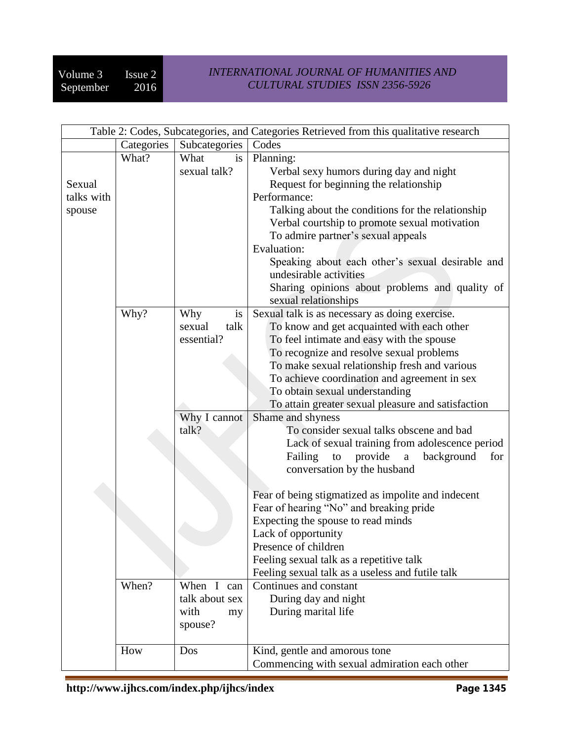| Table 2: Codes, Subcategories, and Categories Retrieved from this qualitative research |                               |                |                                                    |  |  |
|----------------------------------------------------------------------------------------|-------------------------------|----------------|----------------------------------------------------|--|--|
|                                                                                        | Categories  <br>Subcategories |                | Codes                                              |  |  |
|                                                                                        | What?                         | What<br>is     | Planning:                                          |  |  |
|                                                                                        |                               | sexual talk?   | Verbal sexy humors during day and night            |  |  |
| Sexual                                                                                 |                               |                | Request for beginning the relationship             |  |  |
| talks with                                                                             |                               |                | Performance:                                       |  |  |
| spouse                                                                                 |                               |                | Talking about the conditions for the relationship  |  |  |
|                                                                                        |                               |                | Verbal courtship to promote sexual motivation      |  |  |
|                                                                                        |                               |                | To admire partner's sexual appeals                 |  |  |
|                                                                                        |                               |                | Evaluation:                                        |  |  |
|                                                                                        |                               |                | Speaking about each other's sexual desirable and   |  |  |
|                                                                                        |                               |                | undesirable activities                             |  |  |
|                                                                                        |                               |                | Sharing opinions about problems and quality of     |  |  |
|                                                                                        |                               |                | sexual relationships                               |  |  |
|                                                                                        | Why?                          | Why<br>is      | Sexual talk is as necessary as doing exercise.     |  |  |
|                                                                                        |                               | talk<br>sexual | To know and get acquainted with each other         |  |  |
|                                                                                        |                               | essential?     | To feel intimate and easy with the spouse          |  |  |
|                                                                                        |                               |                | To recognize and resolve sexual problems           |  |  |
|                                                                                        |                               |                | To make sexual relationship fresh and various      |  |  |
|                                                                                        |                               |                | To achieve coordination and agreement in sex       |  |  |
|                                                                                        |                               |                | To obtain sexual understanding                     |  |  |
|                                                                                        |                               |                | To attain greater sexual pleasure and satisfaction |  |  |
|                                                                                        |                               | Why I cannot   | Shame and shyness                                  |  |  |
|                                                                                        |                               | talk?          | To consider sexual talks obscene and bad           |  |  |
|                                                                                        |                               |                | Lack of sexual training from adolescence period    |  |  |
|                                                                                        |                               |                | provide<br>Failing<br>to<br>background<br>a<br>for |  |  |
|                                                                                        |                               |                | conversation by the husband                        |  |  |
|                                                                                        |                               |                |                                                    |  |  |
|                                                                                        |                               |                | Fear of being stigmatized as impolite and indecent |  |  |
|                                                                                        |                               |                | Fear of hearing "No" and breaking pride            |  |  |
|                                                                                        |                               |                | Expecting the spouse to read minds                 |  |  |
|                                                                                        |                               |                | Lack of opportunity                                |  |  |
|                                                                                        |                               |                | Presence of children                               |  |  |
|                                                                                        |                               |                | Feeling sexual talk as a repetitive talk           |  |  |
|                                                                                        |                               |                | Feeling sexual talk as a useless and futile talk   |  |  |
|                                                                                        | When?                         | When I can     | Continues and constant                             |  |  |
|                                                                                        |                               | talk about sex | During day and night                               |  |  |
|                                                                                        |                               | with<br>my     | During marital life                                |  |  |
|                                                                                        |                               | spouse?        |                                                    |  |  |
|                                                                                        |                               |                |                                                    |  |  |
|                                                                                        | How                           | Dos            | Kind, gentle and amorous tone                      |  |  |
|                                                                                        |                               |                | Commencing with sexual admiration each other       |  |  |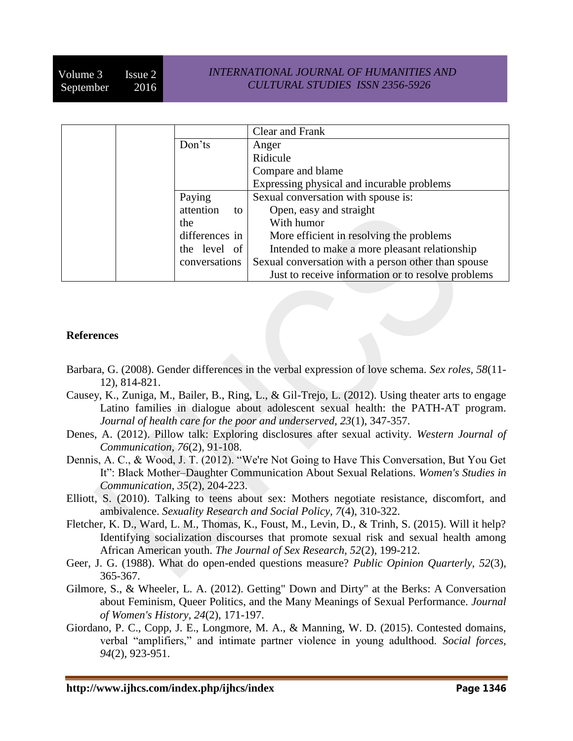|  |                 | Clear and Frank                                     |
|--|-----------------|-----------------------------------------------------|
|  | Don'ts          | Anger                                               |
|  |                 | Ridicule                                            |
|  |                 | Compare and blame                                   |
|  |                 | Expressing physical and incurable problems          |
|  | Paying          | Sexual conversation with spouse is:                 |
|  | attention<br>to | Open, easy and straight                             |
|  | the             | With humor                                          |
|  | differences in  | More efficient in resolving the problems            |
|  | the level of    | Intended to make a more pleasant relationship       |
|  | conversations   | Sexual conversation with a person other than spouse |
|  |                 | Just to receive information or to resolve problems  |

## **References**

- <span id="page-15-8"></span>Barbara, G. (2008). Gender differences in the verbal expression of love schema. *Sex roles, 58*(11- 12), 814-821.
- <span id="page-15-7"></span>Causey, K., Zuniga, M., Bailer, B., Ring, L., & Gil-Trejo, L. (2012). Using theater arts to engage Latino families in dialogue about adolescent sexual health: the PATH-AT program. *Journal of health care for the poor and underserved, 23*(1), 347-357.
- <span id="page-15-5"></span>Denes, A. (2012). Pillow talk: Exploring disclosures after sexual activity. *Western Journal of Communication, 76*(2), 91-108.
- <span id="page-15-2"></span>Dennis, A. C., & Wood, J. T. (2012). "We're Not Going to Have This Conversation, But You Get It": Black Mother–Daughter Communication About Sexual Relations. *Women's Studies in Communication, 35*(2), 204-223.
- <span id="page-15-6"></span>Elliott, S. (2010). Talking to teens about sex: Mothers negotiate resistance, discomfort, and ambivalence. *Sexuality Research and Social Policy, 7*(4), 310-322.
- <span id="page-15-0"></span>Fletcher, K. D., Ward, L. M., Thomas, K., Foust, M., Levin, D., & Trinh, S. (2015). Will it help? Identifying socialization discourses that promote sexual risk and sexual health among African American youth. *The Journal of Sex Research, 52*(2), 199-212.
- <span id="page-15-4"></span>Geer, J. G. (1988). What do open-ended questions measure? *Public Opinion Quarterly, 52*(3), 365-367.
- <span id="page-15-1"></span>Gilmore, S., & Wheeler, L. A. (2012). Getting" Down and Dirty" at the Berks: A Conversation about Feminism, Queer Politics, and the Many Meanings of Sexual Performance. *Journal of Women's History, 24*(2), 171-197.
- <span id="page-15-3"></span>Giordano, P. C., Copp, J. E., Longmore, M. A., & Manning, W. D. (2015). Contested domains, verbal "amplifiers," and intimate partner violence in young adulthood. *Social forces, 94*(2), 923-951.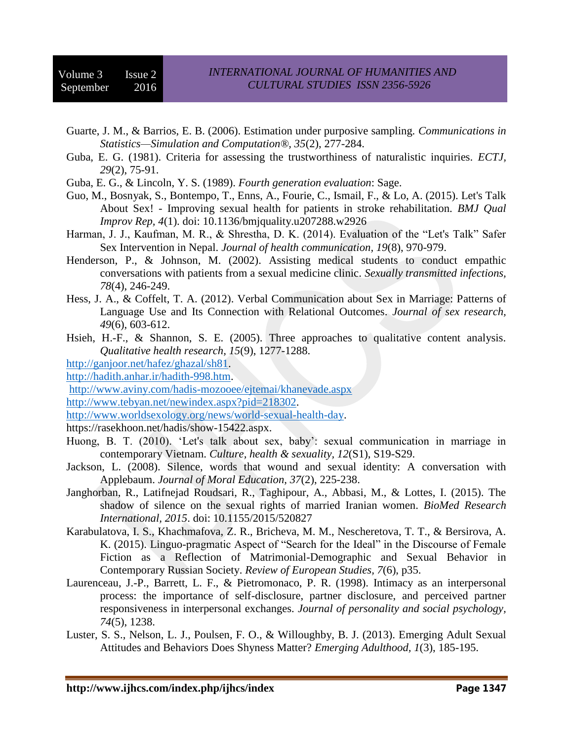- <span id="page-16-8"></span>Guarte, J. M., & Barrios, E. B. (2006). Estimation under purposive sampling. *Communications in Statistics—Simulation and Computation®, 35*(2), 277-284.
- <span id="page-16-10"></span>Guba, E. G. (1981). Criteria for assessing the trustworthiness of naturalistic inquiries. *ECTJ, 29*(2), 75-91.
- <span id="page-16-11"></span>Guba, E. G., & Lincoln, Y. S. (1989). *Fourth generation evaluation*: Sage.
- <span id="page-16-5"></span>Guo, M., Bosnyak, S., Bontempo, T., Enns, A., Fourie, C., Ismail, F., & Lo, A. (2015). Let's Talk About Sex! - Improving sexual health for patients in stroke rehabilitation. *BMJ Qual Improv Rep, 4*(1). doi: 10.1136/bmjquality.u207288.w2926
- <span id="page-16-13"></span>Harman, J. J., Kaufman, M. R., & Shrestha, D. K. (2014). Evaluation of the "Let's Talk" Safer Sex Intervention in Nepal. *Journal of health communication, 19*(8), 970-979.
- <span id="page-16-4"></span>Henderson, P., & Johnson, M. (2002). Assisting medical students to conduct empathic conversations with patients from a sexual medicine clinic. *Sexually transmitted infections, 78*(4), 246-249.
- <span id="page-16-1"></span>Hess, J. A., & Coffelt, T. A. (2012). Verbal Communication about Sex in Marriage: Patterns of Language Use and Its Connection with Relational Outcomes. *Journal of sex research, 49*(6), 603-612.
- <span id="page-16-9"></span>Hsieh, H.-F., & Shannon, S. E. (2005). Three approaches to qualitative content analysis. *Qualitative health research, 15*(9), 1277-1288.

<span id="page-16-17"></span>[http://ganjoor.net/hafez/ghazal/sh81.](http://ganjoor.net/hafez/ghazal/sh81)

<span id="page-16-7"></span>[http://hadith.anhar.ir/hadith-998.htm.](http://hadith.anhar.ir/hadith-998.htm)

<span id="page-16-18"></span><http://www.aviny.com/hadis-mozooee/ejtemai/khanevade.aspx>

<span id="page-16-19"></span>[http://www.tebyan.net/newindex.aspx?pid=218302.](http://www.tebyan.net/newindex.aspx?pid=218302)

<span id="page-16-2"></span>[http://www.worldsexology.org/news/world-sexual-health-day.](http://www.worldsexology.org/news/world-sexual-health-day)

<span id="page-16-16"></span>https://rasekhoon.net/hadis/show-15422.aspx.

- <span id="page-16-6"></span>Huong, B. T. (2010). 'Let's talk about sex, baby': sexual communication in marriage in contemporary Vietnam. *Culture, health & sexuality, 12*(S1), S19-S29.
- <span id="page-16-0"></span>Jackson, L. (2008). Silence, words that wound and sexual identity: A conversation with Applebaum. *Journal of Moral Education, 37*(2), 225-238.
- <span id="page-16-15"></span>Janghorban, R., Latifnejad Roudsari, R., Taghipour, A., Abbasi, M., & Lottes, I. (2015). The shadow of silence on the sexual rights of married Iranian women. *BioMed Research International, 2015*. doi: 10.1155/2015/520827
- <span id="page-16-3"></span>Karabulatova, I. S., Khachmafova, Z. R., Bricheva, M. M., Nescheretova, T. T., & Bersirova, A. K. (2015). Linguo-pragmatic Aspect of "Search for the Ideal" in the Discourse of Female Fiction as a Reflection of Matrimonial-Demographic and Sexual Behavior in Contemporary Russian Society. *Review of European Studies, 7*(6), p35.
- <span id="page-16-12"></span>Laurenceau, J.-P., Barrett, L. F., & Pietromonaco, P. R. (1998). Intimacy as an interpersonal process: the importance of self-disclosure, partner disclosure, and perceived partner responsiveness in interpersonal exchanges. *Journal of personality and social psychology, 74*(5), 1238.
- <span id="page-16-14"></span>Luster, S. S., Nelson, L. J., Poulsen, F. O., & Willoughby, B. J. (2013). Emerging Adult Sexual Attitudes and Behaviors Does Shyness Matter? *Emerging Adulthood, 1*(3), 185-195.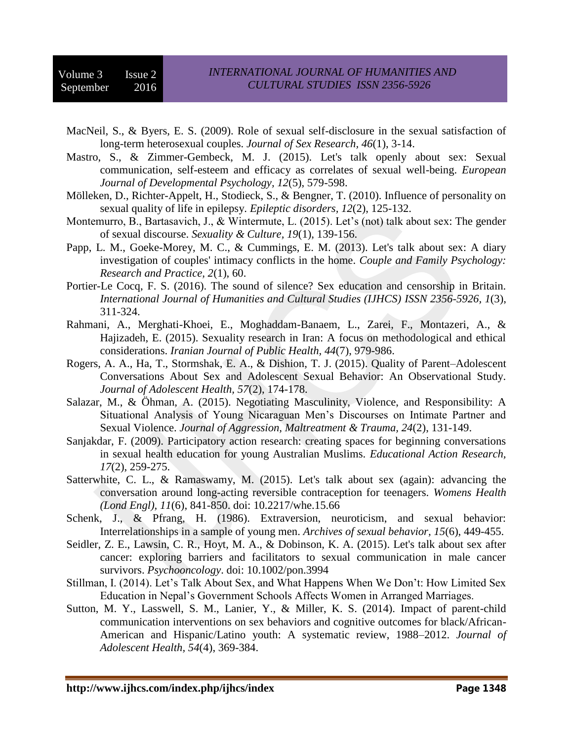- <span id="page-17-8"></span>MacNeil, S., & Byers, E. S. (2009). Role of sexual self-disclosure in the sexual satisfaction of long-term heterosexual couples. *Journal of Sex Research, 46*(1), 3-14.
- <span id="page-17-7"></span>Mastro, S., & Zimmer-Gembeck, M. J. (2015). Let's talk openly about sex: Sexual communication, self-esteem and efficacy as correlates of sexual well-being. *European Journal of Developmental Psychology, 12*(5), 579-598.
- <span id="page-17-13"></span>Mölleken, D., Richter-Appelt, H., Stodieck, S., & Bengner, T. (2010). Influence of personality on sexual quality of life in epilepsy. *Epileptic disorders, 12*(2), 125-132.
- <span id="page-17-11"></span>Montemurro, B., Bartasavich, J., & Wintermute, L. (2015). Let's (not) talk about sex: The gender of sexual discourse. *Sexuality & Culture, 19*(1), 139-156.
- <span id="page-17-6"></span>Papp, L. M., Goeke-Morey, M. C., & Cummings, E. M. (2013). Let's talk about sex: A diary investigation of couples' intimacy conflicts in the home. *Couple and Family Psychology: Research and Practice, 2*(1), 60.
- <span id="page-17-1"></span>Portier-Le Cocq, F. S. (2016). The sound of silence? Sex education and censorship in Britain. *International Journal of Humanities and Cultural Studies (IJHCS) ISSN 2356-5926, 1*(3), 311-324.
- <span id="page-17-12"></span>Rahmani, A., Merghati-Khoei, E., Moghaddam-Banaem, L., Zarei, F., Montazeri, A., & Hajizadeh, E. (2015). Sexuality research in Iran: A focus on methodological and ethical considerations. *Iranian Journal of Public Health, 44*(7), 979-986.
- <span id="page-17-2"></span>Rogers, A. A., Ha, T., Stormshak, E. A., & Dishion, T. J. (2015). Quality of Parent–Adolescent Conversations About Sex and Adolescent Sexual Behavior: An Observational Study. *Journal of Adolescent Health, 57*(2), 174-178.
- <span id="page-17-0"></span>Salazar, M., & Öhman, A. (2015). Negotiating Masculinity, Violence, and Responsibility: A Situational Analysis of Young Nicaraguan Men's Discourses on Intimate Partner and Sexual Violence. *Journal of Aggression, Maltreatment & Trauma, 24*(2), 131-149.
- <span id="page-17-3"></span>Sanjakdar, F. (2009). Participatory action research: creating spaces for beginning conversations in sexual health education for young Australian Muslims. *Educational Action Research, 17*(2), 259-275.
- <span id="page-17-4"></span>Satterwhite, C. L., & Ramaswamy, M. (2015). Let's talk about sex (again): advancing the conversation around long-acting reversible contraception for teenagers. *Womens Health (Lond Engl), 11*(6), 841-850. doi: 10.2217/whe.15.66
- <span id="page-17-14"></span>Schenk, J., & Pfrang, H. (1986). Extraversion, neuroticism, and sexual behavior: Interrelationships in a sample of young men. *Archives of sexual behavior, 15*(6), 449-455.
- <span id="page-17-5"></span>Seidler, Z. E., Lawsin, C. R., Hoyt, M. A., & Dobinson, K. A. (2015). Let's talk about sex after cancer: exploring barriers and facilitators to sexual communication in male cancer survivors. *Psychooncology*. doi: 10.1002/pon.3994
- <span id="page-17-10"></span>Stillman, I. (2014). Let's Talk About Sex, and What Happens When We Don't: How Limited Sex Education in Nepal's Government Schools Affects Women in Arranged Marriages.
- <span id="page-17-9"></span>Sutton, M. Y., Lasswell, S. M., Lanier, Y., & Miller, K. S. (2014). Impact of parent-child communication interventions on sex behaviors and cognitive outcomes for black/African-American and Hispanic/Latino youth: A systematic review, 1988–2012. *Journal of Adolescent Health, 54*(4), 369-384.